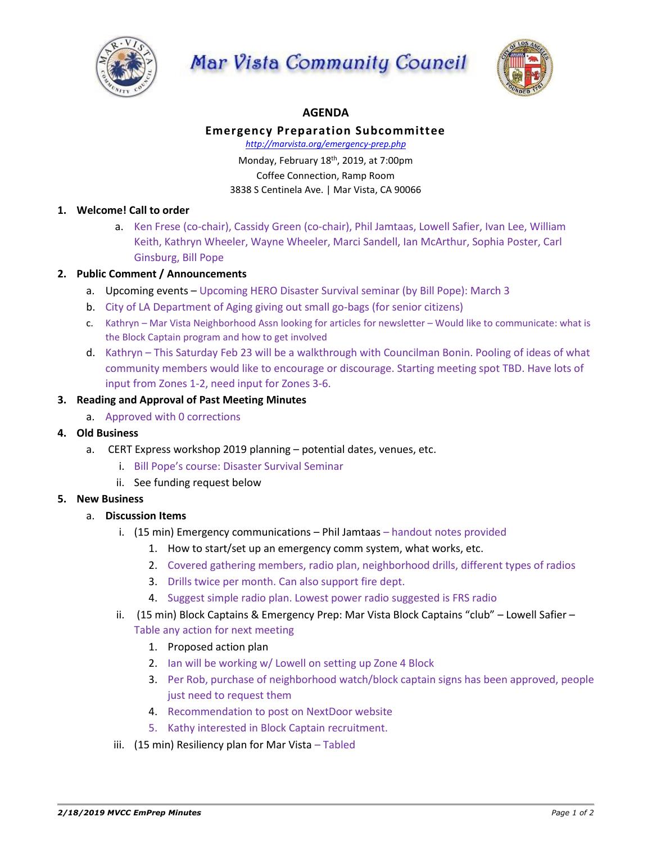

Mar Vista Community Council



### **AGENDA**

# **Emergency Preparation Subcommittee**

*http://marvista.org/emergency-prep.php*

Monday, February 18<sup>th</sup>, 2019, at 7:00pm Coffee Connection, Ramp Room 3838 S Centinela Ave. | Mar Vista, CA 90066

### **1. Welcome! Call to order**

a. Ken Frese (co-chair), Cassidy Green (co-chair), Phil Jamtaas, Lowell Safier, Ivan Lee, William Keith, Kathryn Wheeler, Wayne Wheeler, Marci Sandell, Ian McArthur, Sophia Poster, Carl Ginsburg, Bill Pope

### **2. Public Comment / Announcements**

- a. Upcoming events Upcoming HERO Disaster Survival seminar (by Bill Pope): March 3
- b. City of LA Department of Aging giving out small go-bags (for senior citizens)
- c. Kathryn Mar Vista Neighborhood Assn looking for articles for newsletter Would like to communicate: what is the Block Captain program and how to get involved
- d. Kathryn This Saturday Feb 23 will be a walkthrough with Councilman Bonin. Pooling of ideas of what community members would like to encourage or discourage. Starting meeting spot TBD. Have lots of input from Zones 1-2, need input for Zones 3-6.

### **3. Reading and Approval of Past Meeting Minutes**

a. Approved with 0 corrections

### **4. Old Business**

- a. CERT Express workshop 2019 planning potential dates, venues, etc.
	- i. Bill Pope's course: Disaster Survival Seminar
	- ii. See funding request below

# **5. New Business**

### a. **Discussion Items**

- i. (15 min) Emergency communications Phil Jamtaas handout notes provided
	- 1. How to start/set up an emergency comm system, what works, etc.
	- 2. Covered gathering members, radio plan, neighborhood drills, different types of radios
	- 3. Drills twice per month. Can also support fire dept.
	- 4. Suggest simple radio plan. Lowest power radio suggested is FRS radio
- ii. (15 min) Block Captains & Emergency Prep: Mar Vista Block Captains "club" Lowell Safier Table any action for next meeting
	- 1. Proposed action plan
	- 2. Ian will be working w/ Lowell on setting up Zone 4 Block
	- 3. Per Rob, purchase of neighborhood watch/block captain signs has been approved, people just need to request them
	- 4. Recommendation to post on NextDoor website
	- 5. Kathy interested in Block Captain recruitment.
- iii. (15 min) Resiliency plan for Mar Vista Tabled